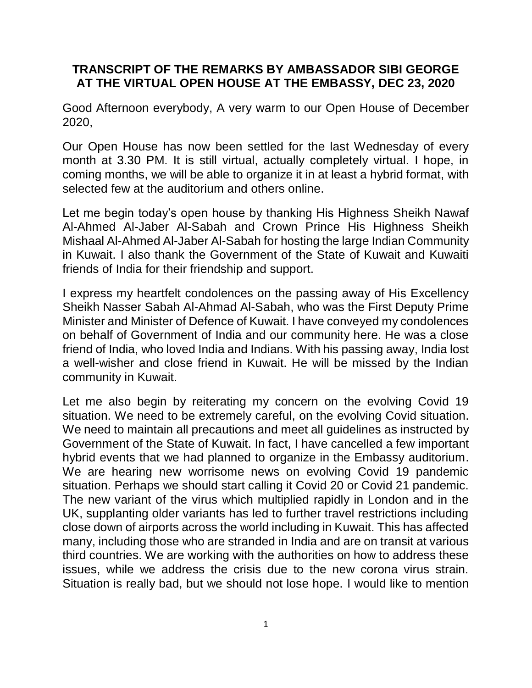## **TRANSCRIPT OF THE REMARKS BY AMBASSADOR SIBI GEORGE AT THE VIRTUAL OPEN HOUSE AT THE EMBASSY, DEC 23, 2020**

Good Afternoon everybody, A very warm to our Open House of December 2020,

Our Open House has now been settled for the last Wednesday of every month at 3.30 PM. It is still virtual, actually completely virtual. I hope, in coming months, we will be able to organize it in at least a hybrid format, with selected few at the auditorium and others online.

Let me begin today's open house by thanking His Highness Sheikh Nawaf Al-Ahmed Al-Jaber Al-Sabah and Crown Prince His Highness Sheikh Mishaal Al-Ahmed Al-Jaber Al-Sabah for hosting the large Indian Community in Kuwait. I also thank the Government of the State of Kuwait and Kuwaiti friends of India for their friendship and support.

I express my heartfelt condolences on the passing away of His Excellency Sheikh Nasser Sabah Al-Ahmad Al-Sabah, who was the First Deputy Prime Minister and Minister of Defence of Kuwait. I have conveyed my condolences on behalf of Government of India and our community here. He was a close friend of India, who loved India and Indians. With his passing away, India lost a well-wisher and close friend in Kuwait. He will be missed by the Indian community in Kuwait.

Let me also begin by reiterating my concern on the evolving Covid 19 situation. We need to be extremely careful, on the evolving Covid situation. We need to maintain all precautions and meet all guidelines as instructed by Government of the State of Kuwait. In fact, I have cancelled a few important hybrid events that we had planned to organize in the Embassy auditorium. We are hearing new worrisome news on evolving Covid 19 pandemic situation. Perhaps we should start calling it Covid 20 or Covid 21 pandemic. The new variant of the virus which multiplied rapidly in London and in the UK, supplanting older variants has led to further travel restrictions including close down of airports across the world including in Kuwait. This has affected many, including those who are stranded in India and are on transit at various third countries. We are working with the authorities on how to address these issues, while we address the crisis due to the new corona virus strain. Situation is really bad, but we should not lose hope. I would like to mention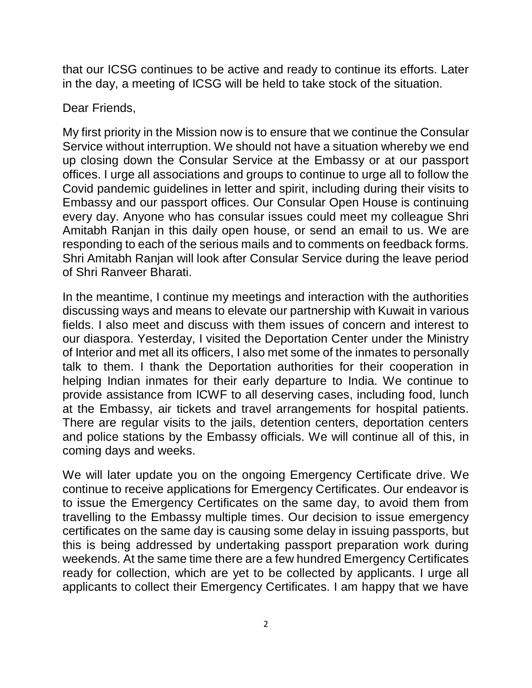that our ICSG continues to be active and ready to continue its efforts. Later in the day, a meeting of ICSG will be held to take stock of the situation.

## Dear Friends,

My first priority in the Mission now is to ensure that we continue the Consular Service without interruption. We should not have a situation whereby we end up closing down the Consular Service at the Embassy or at our passport offices. I urge all associations and groups to continue to urge all to follow the Covid pandemic guidelines in letter and spirit, including during their visits to Embassy and our passport offices. Our Consular Open House is continuing every day. Anyone who has consular issues could meet my colleague Shri Amitabh Ranjan in this daily open house, or send an email to us. We are responding to each of the serious mails and to comments on feedback forms. Shri Amitabh Ranjan will look after Consular Service during the leave period of Shri Ranveer Bharati.

In the meantime, I continue my meetings and interaction with the authorities discussing ways and means to elevate our partnership with Kuwait in various fields. I also meet and discuss with them issues of concern and interest to our diaspora. Yesterday, I visited the Deportation Center under the Ministry of Interior and met all its officers, I also met some of the inmates to personally talk to them. I thank the Deportation authorities for their cooperation in helping Indian inmates for their early departure to India. We continue to provide assistance from ICWF to all deserving cases, including food, lunch at the Embassy, air tickets and travel arrangements for hospital patients. There are regular visits to the jails, detention centers, deportation centers and police stations by the Embassy officials. We will continue all of this, in coming days and weeks.

We will later update you on the ongoing Emergency Certificate drive. We continue to receive applications for Emergency Certificates. Our endeavor is to issue the Emergency Certificates on the same day, to avoid them from travelling to the Embassy multiple times. Our decision to issue emergency certificates on the same day is causing some delay in issuing passports, but this is being addressed by undertaking passport preparation work during weekends. At the same time there are a few hundred Emergency Certificates ready for collection, which are yet to be collected by applicants. I urge all applicants to collect their Emergency Certificates. I am happy that we have